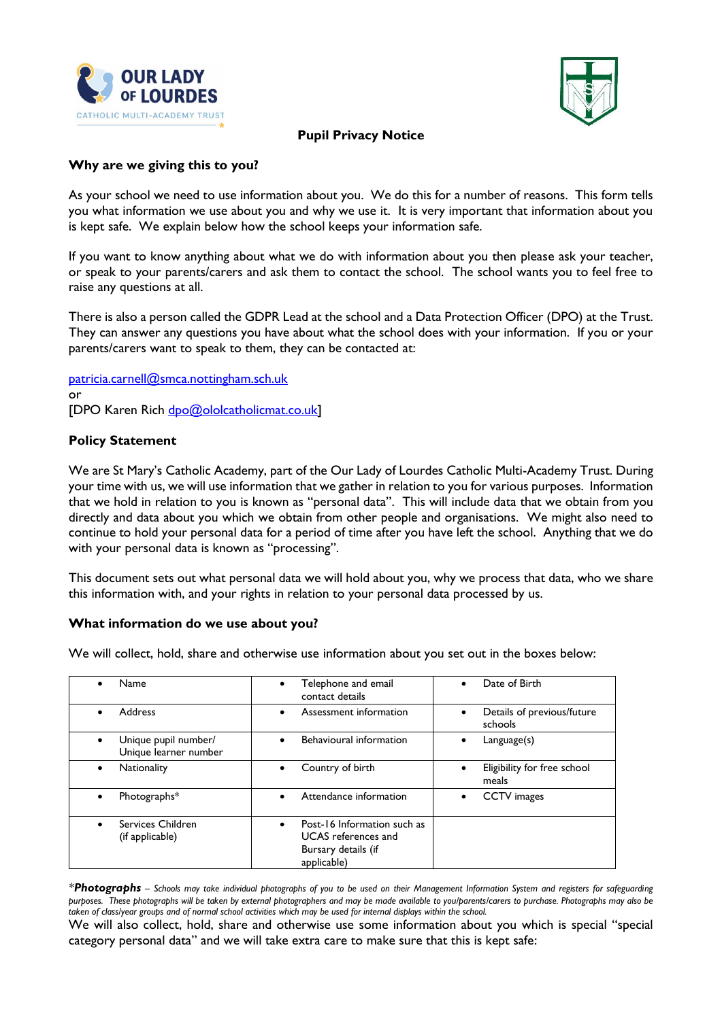



## **Pupil Privacy Notice**

#### **Why are we giving this to you?**

As your school we need to use information about you. We do this for a number of reasons. This form tells you what information we use about you and why we use it. It is very important that information about you is kept safe. We explain below how the school keeps your information safe.

If you want to know anything about what we do with information about you then please ask your teacher, or speak to your parents/carers and ask them to contact the school. The school wants you to feel free to raise any questions at all.

There is also a person called the GDPR Lead at the school and a Data Protection Officer (DPO) at the Trust. They can answer any questions you have about what the school does with your information. If you or your parents/carers want to speak to them, they can be contacted at:

[patricia.carnell@smca.nottingham.sch.uk](mailto:patricia.carnell@smca.nottingham.sch.uk) or [DPO Karen Rich [dpo@ololcatholicmat.co.uk\]](mailto:dpo@ololcatholicmat.co.uk)

# **Policy Statement**

We are St Mary's Catholic Academy, part of the Our Lady of Lourdes Catholic Multi-Academy Trust. During your time with us, we will use information that we gather in relation to you for various purposes. Information that we hold in relation to you is known as "personal data". This will include data that we obtain from you directly and data about you which we obtain from other people and organisations. We might also need to continue to hold your personal data for a period of time after you have left the school. Anything that we do with your personal data is known as "processing".

This document sets out what personal data we will hold about you, why we process that data, who we share this information with, and your rights in relation to your personal data processed by us.

#### **What information do we use about you?**

We will collect, hold, share and otherwise use information about you set out in the boxes below:

| Name                                                       | Telephone and email<br>contact details                                                          | Date of Birth                         |
|------------------------------------------------------------|-------------------------------------------------------------------------------------------------|---------------------------------------|
| <b>Address</b><br>$\bullet$                                | Assessment information                                                                          | Details of previous/future<br>schools |
| Unique pupil number/<br>$\bullet$<br>Unique learner number | Behavioural information                                                                         | Language(s)<br>٠                      |
| Nationality                                                | Country of birth                                                                                | Eligibility for free school<br>meals  |
| Photographs*<br>$\bullet$                                  | Attendance information                                                                          | <b>CCTV</b> images                    |
| Services Children<br>(if applicable)                       | Post-16 Information such as<br><b>UCAS</b> references and<br>Bursary details (if<br>applicable) |                                       |

*\*Photographs – Schools may take individual photographs of you to be used on their Management Information System and registers for safeguarding purposes. These photographs will be taken by external photographers and may be made available to you/parents/carers to purchase. Photographs may also be taken of class/year groups and of normal school activities which may be used for internal displays within the school.*

We will also collect, hold, share and otherwise use some information about you which is special "special category personal data" and we will take extra care to make sure that this is kept safe: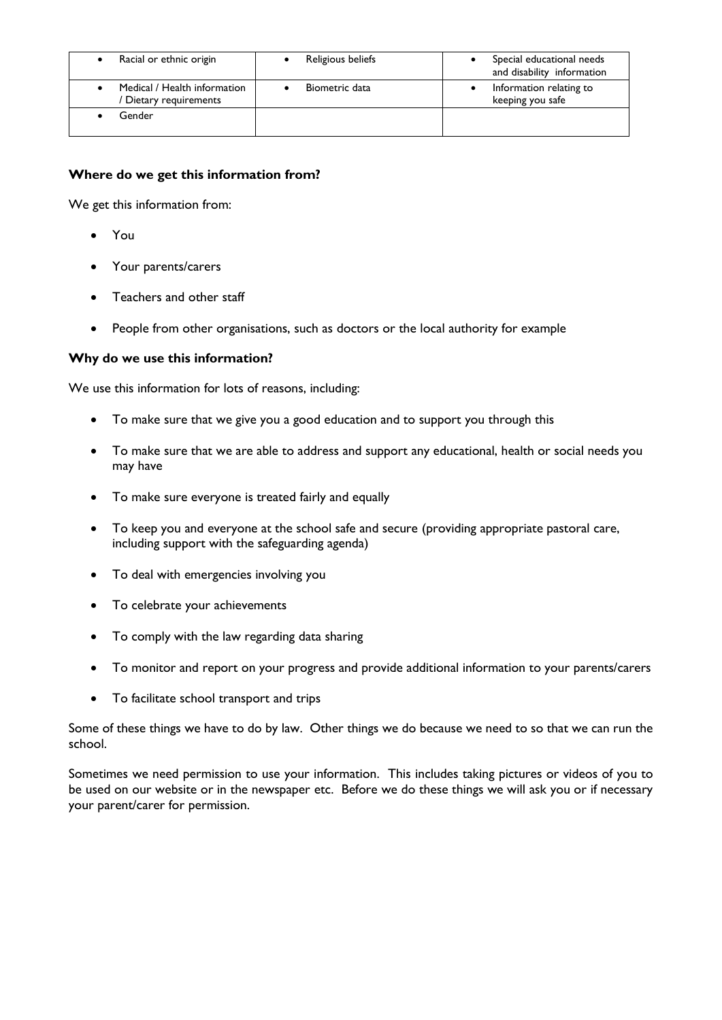| Racial or ethnic origin                              | Religious beliefs | Special educational needs<br>and disability information |
|------------------------------------------------------|-------------------|---------------------------------------------------------|
| Medical / Health information<br>Dietary requirements | Biometric data    | Information relating to<br>keeping you safe             |
| Gender                                               |                   |                                                         |

# **Where do we get this information from?**

We get this information from:

- You
- Your parents/carers
- Teachers and other staff
- People from other organisations, such as doctors or the local authority for example

## **Why do we use this information?**

We use this information for lots of reasons, including:

- To make sure that we give you a good education and to support you through this
- To make sure that we are able to address and support any educational, health or social needs you may have
- To make sure everyone is treated fairly and equally
- To keep you and everyone at the school safe and secure (providing appropriate pastoral care, including support with the safeguarding agenda)
- To deal with emergencies involving you
- To celebrate your achievements
- To comply with the law regarding data sharing
- To monitor and report on your progress and provide additional information to your parents/carers
- To facilitate school transport and trips

Some of these things we have to do by law. Other things we do because we need to so that we can run the school.

Sometimes we need permission to use your information. This includes taking pictures or videos of you to be used on our website or in the newspaper etc. Before we do these things we will ask you or if necessary your parent/carer for permission.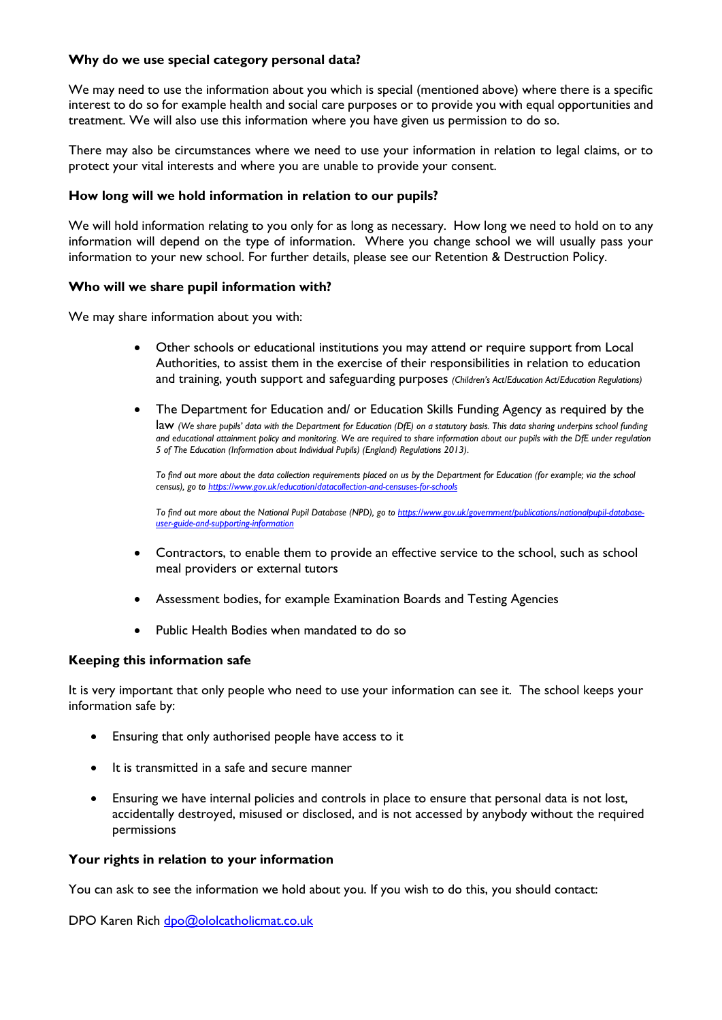## **Why do we use special category personal data?**

We may need to use the information about you which is special (mentioned above) where there is a specific interest to do so for example health and social care purposes or to provide you with equal opportunities and treatment. We will also use this information where you have given us permission to do so.

There may also be circumstances where we need to use your information in relation to legal claims, or to protect your vital interests and where you are unable to provide your consent.

#### **How long will we hold information in relation to our pupils?**

We will hold information relating to you only for as long as necessary. How long we need to hold on to any information will depend on the type of information. Where you change school we will usually pass your information to your new school. For further details, please see our Retention & Destruction Policy.

#### **Who will we share pupil information with?**

We may share information about you with:

- Other schools or educational institutions you may attend or require support from Local Authorities, to assist them in the exercise of their responsibilities in relation to education and training, youth support and safeguarding purposes *(Children's Act/Education Act/Education Regulations)*
- The Department for Education and/ or Education Skills Funding Agency as required by the law *(We share pupils' data with the Department for Education (DfE) on a statutory basis. This data sharing underpins school funding and educational attainment policy and monitoring. We are required to share information about our pupils with the DfE under regulation 5 of The Education (Information about Individual Pupils) (England) Regulations 2013).*

*To find out more about the data collection requirements placed on us by the Department for Education (for example; via the school census), go to<https://www.gov.uk/education/datacollection-and-censuses-for-schools>*

*To find out more about the National Pupil Database (NPD), go to [https://www.gov.uk/government/publications/nationalpupil-database](https://www.gov.uk/government/publications/nationalpupil-database-user-guide-and-supporting-information)[user-guide-and-supporting-information](https://www.gov.uk/government/publications/nationalpupil-database-user-guide-and-supporting-information)*

- Contractors, to enable them to provide an effective service to the school, such as school meal providers or external tutors
- Assessment bodies, for example Examination Boards and Testing Agencies
- Public Health Bodies when mandated to do so

## **Keeping this information safe**

It is very important that only people who need to use your information can see it. The school keeps your information safe by:

- Ensuring that only authorised people have access to it
- It is transmitted in a safe and secure manner
- Ensuring we have internal policies and controls in place to ensure that personal data is not lost, accidentally destroyed, misused or disclosed, and is not accessed by anybody without the required permissions

#### **Your rights in relation to your information**

You can ask to see the information we hold about you. If you wish to do this, you should contact:

DPO Karen Rich [dpo@ololcatholicmat.co.uk](mailto:dpo@ololcatholicmat.co.uk)